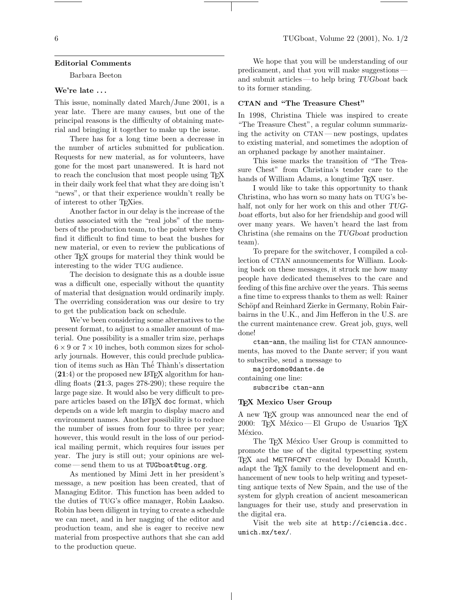### Editorial Comments

Barbara Beeton

## We're late ...

This issue, nominally dated March/June 2001, is a year late. There are many causes, but one of the principal reasons is the difficulty of obtaining material and bringing it together to make up the issue.

There has for a long time been a decrease in the number of articles submitted for publication. Requests for new material, as for volunteers, have gone for the most part unanswered. It is hard not to reach the conclusion that most people using TEX in their daily work feel that what they are doing isn't "news", or that their experience wouldn't really be of interest to other TEXies.

Another factor in our delay is the increase of the duties associated with the "real jobs" of the members of the production team, to the point where they find it difficult to find time to beat the bushes for new material, or even to review the publications of other TEX groups for material they think would be interesting to the wider TUG audience.

The decision to designate this as a double issue was a difficult one, especially without the quantity of material that designation would ordinarily imply. The overriding consideration was our desire to try to get the publication back on schedule.

We've been considering some alternatives to the present format, to adjust to a smaller amount of material. One possibility is a smaller trim size, perhaps  $6 \times 9$  or  $7 \times 10$  inches, both common sizes for scholarly journals. However, this could preclude publication of items such as Hàn Thế Thành's dissertation  $(21:4)$  or the proposed new LAT<sub>E</sub>X algorithm for handling floats (21:3, pages 278-290); these require the large page size. It would also be very difficult to prepare articles based on the LAT<sub>EX</sub> doc format, which depends on a wide left margin to display macro and environment names. Another possibility is to reduce the number of issues from four to three per year; however, this would result in the loss of our periodical mailing permit, which requires four issues per year. The jury is still out; your opinions are welcome — send them to us at TUGboat@tug.org.

As mentioned by Mimi Jett in her president's message, a new position has been created, that of Managing Editor. This function has been added to the duties of TUG's office manager, Robin Laakso. Robin has been diligent in trying to create a schedule we can meet, and in her nagging of the editor and production team, and she is eager to receive new material from prospective authors that she can add to the production queue.

We hope that you will be understanding of our predicament, and that you will make suggestions and submit articles — to help bring TUGboat back to its former standing.

### CTAN and "The Treasure Chest"

In 1998, Christina Thiele was inspired to create "The Treasure Chest", a regular column summarizing the activity on CTAN— new postings, updates to existing material, and sometimes the adoption of an orphaned package by another maintainer.

This issue marks the transition of "The Treasure Chest" from Christina's tender care to the hands of William Adams, a longtime T<sub>E</sub>X user.

I would like to take this opportunity to thank Christina, who has worn so many hats on TUG's behalf, not only for her work on this and other TUGboat efforts, but also for her friendship and good will over many years. We haven't heard the last from Christina (she remains on the TUGboat production team).

To prepare for the switchover, I compiled a collection of CTAN announcements for William. Looking back on these messages, it struck me how many people have dedicated themselves to the care and feeding of this fine archive over the years. This seems a fine time to express thanks to them as well: Rainer Schöpf and Reinhard Zierke in Germany, Robin Fairbairns in the U.K., and Jim Hefferon in the U.S. are the current maintenance crew. Great job, guys, well done!

ctan-ann, the mailing list for CTAN announcements, has moved to the Dante server; if you want to subscribe, send a message to

majordomo@dante.de containing one line:

subscribe ctan-ann

#### TEX Mexico User Group

A new TEX group was announced near the end of 2000: TEX México — El Grupo de Usuarios TEX México.

The T<sub>EX</sub> México User Group is committed to promote the use of the digital typesetting system TEX and METAFONT created by Donald Knuth, adapt the TEX family to the development and enhancement of new tools to help writing and typesetting antique texts of New Spain, and the use of the system for glyph creation of ancient mesoamerican languages for their use, study and preservation in the digital era.

Visit the web site at http://ciencia.dcc. umich.mx/tex/.